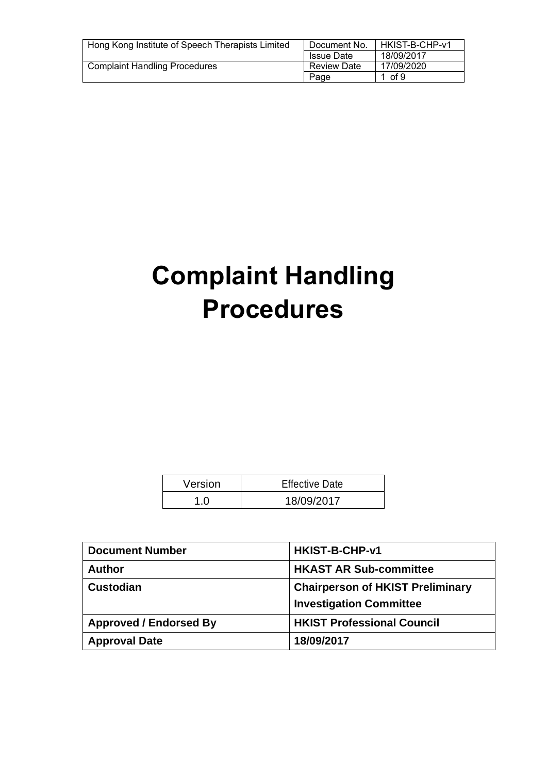| Hong Kong Institute of Speech Therapists Limited | Document No.       | HKIST-B-CHP-v1 |
|--------------------------------------------------|--------------------|----------------|
|                                                  | <b>Issue Date</b>  | 18/09/2017     |
| <b>Complaint Handling Procedures</b>             | <b>Review Date</b> | 17/09/2020     |
|                                                  | Page               | 1 of 9         |

# **Complaint Handling Procedures**

| Version | <b>Effective Date</b> |
|---------|-----------------------|
|         | 18/09/2017            |

| <b>Document Number</b>        | <b>HKIST-B-CHP-v1</b>                                                     |
|-------------------------------|---------------------------------------------------------------------------|
| <b>Author</b>                 | <b>HKAST AR Sub-committee</b>                                             |
| <b>Custodian</b>              | <b>Chairperson of HKIST Preliminary</b><br><b>Investigation Committee</b> |
| <b>Approved / Endorsed By</b> | <b>HKIST Professional Council</b>                                         |
| <b>Approval Date</b>          | 18/09/2017                                                                |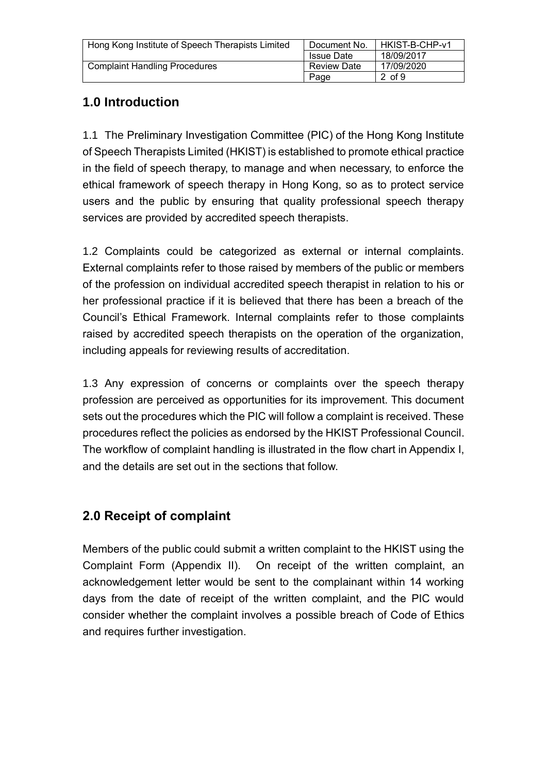| Hong Kong Institute of Speech Therapists Limited | Document No.       | HKIST-B-CHP-v1 |
|--------------------------------------------------|--------------------|----------------|
|                                                  | <b>Issue Date</b>  | 18/09/2017     |
| <b>Complaint Handling Procedures</b>             | <b>Review Date</b> | 17/09/2020     |
|                                                  | Page               | 2 of 9         |

# **1.0 Introduction**

1.1 The Preliminary Investigation Committee (PIC) of the Hong Kong Institute of Speech Therapists Limited (HKIST) is established to promote ethical practice in the field of speech therapy, to manage and when necessary, to enforce the ethical framework of speech therapy in Hong Kong, so as to protect service users and the public by ensuring that quality professional speech therapy services are provided by accredited speech therapists.

1.2 Complaints could be categorized as external or internal complaints. External complaints refer to those raised by members of the public or members of the profession on individual accredited speech therapist in relation to his or her professional practice if it is believed that there has been a breach of the Council's Ethical Framework. Internal complaints refer to those complaints raised by accredited speech therapists on the operation of the organization, including appeals for reviewing results of accreditation.

1.3 Any expression of concerns or complaints over the speech therapy profession are perceived as opportunities for its improvement. This document sets out the procedures which the PIC will follow a complaint is received. These procedures reflect the policies as endorsed by the HKIST Professional Council. The workflow of complaint handling is illustrated in the flow chart in Appendix I, and the details are set out in the sections that follow.

## **2.0 Receipt of complaint**

Members of the public could submit a written complaint to the HKIST using the Complaint Form (Appendix II). On receipt of the written complaint, an acknowledgement letter would be sent to the complainant within 14 working days from the date of receipt of the written complaint, and the PIC would consider whether the complaint involves a possible breach of Code of Ethics and requires further investigation.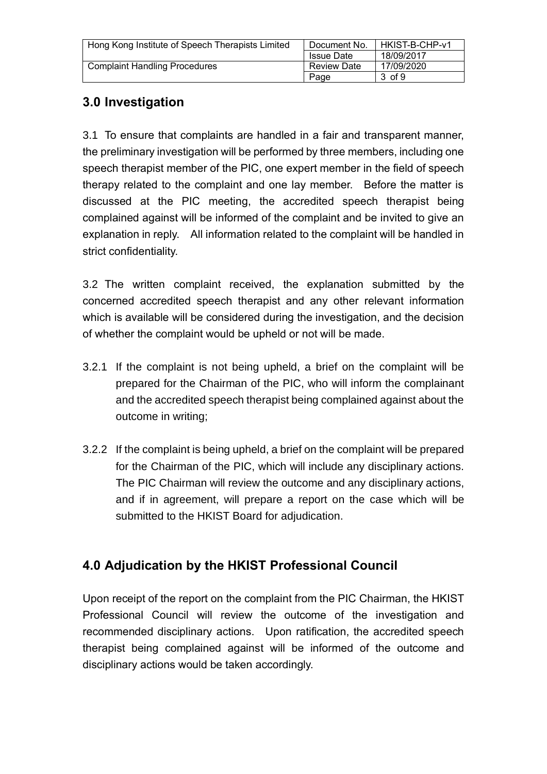| Hong Kong Institute of Speech Therapists Limited | Document No.       | HKIST-B-CHP-v1 |
|--------------------------------------------------|--------------------|----------------|
|                                                  | <b>Issue Date</b>  | 18/09/2017     |
| <b>Complaint Handling Procedures</b>             | <b>Review Date</b> | 17/09/2020     |
|                                                  | Page               | 3 of 9         |

## **3.0 Investigation**

3.1 To ensure that complaints are handled in a fair and transparent manner, the preliminary investigation will be performed by three members, including one speech therapist member of the PIC, one expert member in the field of speech therapy related to the complaint and one lay member. Before the matter is discussed at the PIC meeting, the accredited speech therapist being complained against will be informed of the complaint and be invited to give an explanation in reply. All information related to the complaint will be handled in strict confidentiality.

3.2 The written complaint received, the explanation submitted by the concerned accredited speech therapist and any other relevant information which is available will be considered during the investigation, and the decision of whether the complaint would be upheld or not will be made.

- 3.2.1 If the complaint is not being upheld, a brief on the complaint will be prepared for the Chairman of the PIC, who will inform the complainant and the accredited speech therapist being complained against about the outcome in writing;
- 3.2.2 If the complaint is being upheld, a brief on the complaint will be prepared for the Chairman of the PIC, which will include any disciplinary actions. The PIC Chairman will review the outcome and any disciplinary actions, and if in agreement, will prepare a report on the case which will be submitted to the HKIST Board for adjudication.

## **4.0 Adjudication by the HKIST Professional Council**

Upon receipt of the report on the complaint from the PIC Chairman, the HKIST Professional Council will review the outcome of the investigation and recommended disciplinary actions. Upon ratification, the accredited speech therapist being complained against will be informed of the outcome and disciplinary actions would be taken accordingly.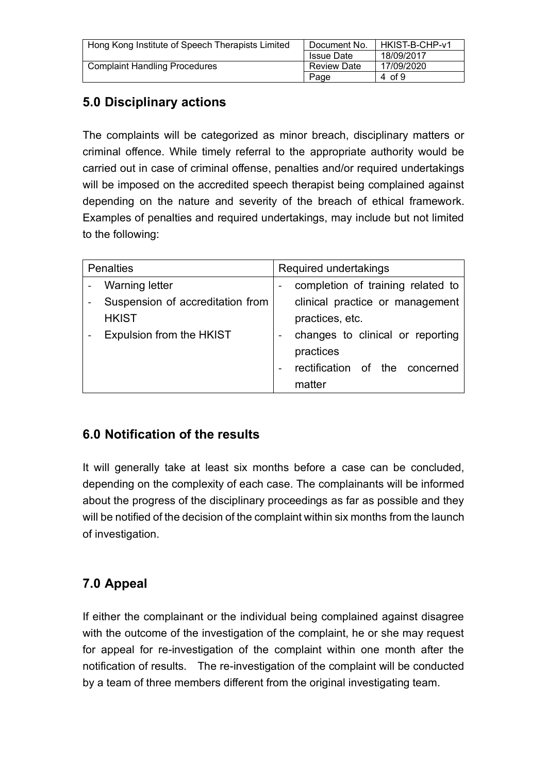| Hong Kong Institute of Speech Therapists Limited | Document No.       | HKIST-B-CHP-v1 |
|--------------------------------------------------|--------------------|----------------|
|                                                  | <b>Issue Date</b>  | 18/09/2017     |
| <b>Complaint Handling Procedures</b>             | <b>Review Date</b> | 17/09/2020     |
|                                                  | Page               | 4 of 9         |

# **5.0 Disciplinary actions**

The complaints will be categorized as minor breach, disciplinary matters or criminal offence. While timely referral to the appropriate authority would be carried out in case of criminal offense, penalties and/or required undertakings will be imposed on the accredited speech therapist being complained against depending on the nature and severity of the breach of ethical framework. Examples of penalties and required undertakings, may include but not limited to the following:

| <b>Penalties</b>                 | Required undertakings             |
|----------------------------------|-----------------------------------|
| <b>Warning letter</b>            | completion of training related to |
| Suspension of accreditation from | clinical practice or management   |
| <b>HKIST</b>                     | practices, etc.                   |
| Expulsion from the HKIST         | changes to clinical or reporting  |
|                                  | practices                         |
|                                  | rectification of the concerned    |
|                                  | matter                            |

## **6.0 Notification of the results**

It will generally take at least six months before a case can be concluded, depending on the complexity of each case. The complainants will be informed about the progress of the disciplinary proceedings as far as possible and they will be notified of the decision of the complaint within six months from the launch of investigation.

## **7.0 Appeal**

If either the complainant or the individual being complained against disagree with the outcome of the investigation of the complaint, he or she may request for appeal for re-investigation of the complaint within one month after the notification of results. The re-investigation of the complaint will be conducted by a team of three members different from the original investigating team.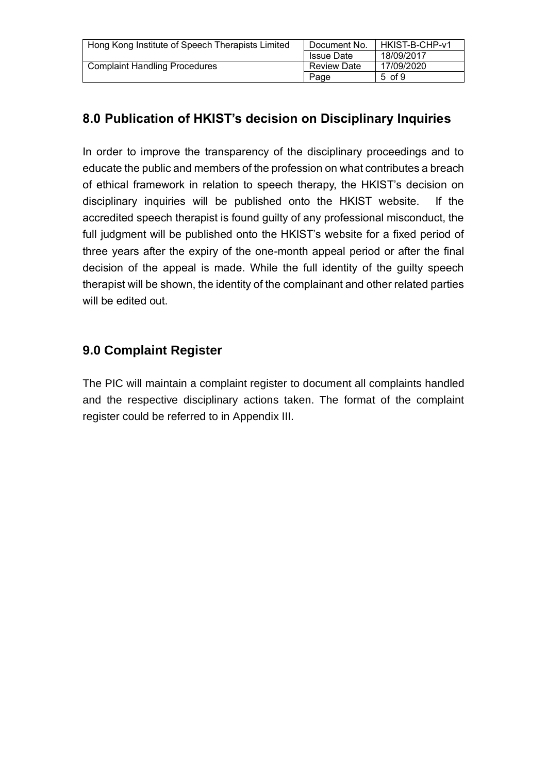| Hong Kong Institute of Speech Therapists Limited | Document No.       | HKIST-B-CHP-v1 |
|--------------------------------------------------|--------------------|----------------|
|                                                  | <b>Issue Date</b>  | 18/09/2017     |
| <b>Complaint Handling Procedures</b>             | <b>Review Date</b> | 17/09/2020     |
|                                                  | Page               | 5 of 9         |

## **8.0 Publication of HKIST's decision on Disciplinary Inquiries**

In order to improve the transparency of the disciplinary proceedings and to educate the public and members of the profession on what contributes a breach of ethical framework in relation to speech therapy, the HKIST's decision on disciplinary inquiries will be published onto the HKIST website. If the accredited speech therapist is found guilty of any professional misconduct, the full judgment will be published onto the HKIST's website for a fixed period of three years after the expiry of the one-month appeal period or after the final decision of the appeal is made. While the full identity of the guilty speech therapist will be shown, the identity of the complainant and other related parties will be edited out.

## **9.0 Complaint Register**

The PIC will maintain a complaint register to document all complaints handled and the respective disciplinary actions taken. The format of the complaint register could be referred to in Appendix III.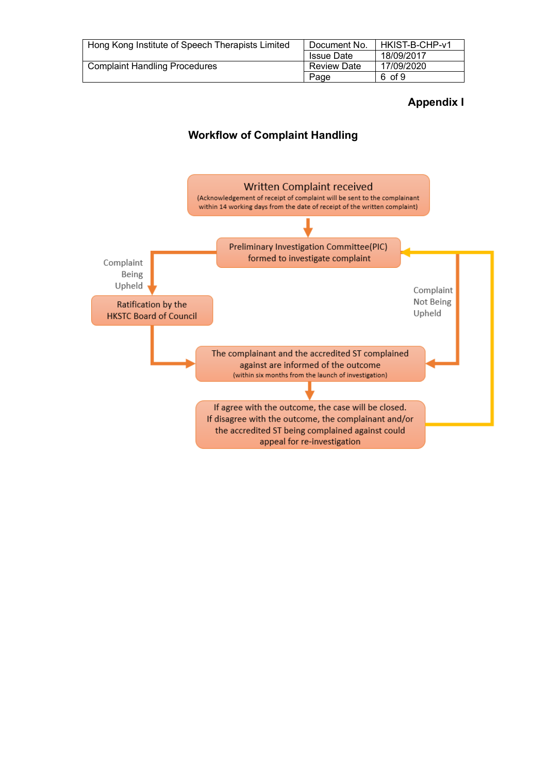| Hong Kong Institute of Speech Therapists Limited | Document No.       | HKIST-B-CHP-v1 |
|--------------------------------------------------|--------------------|----------------|
|                                                  | <b>Issue Date</b>  | 18/09/2017     |
| <b>Complaint Handling Procedures</b>             | <b>Review Date</b> | 17/09/2020     |
|                                                  | Page               | 6 of 9         |

#### **Appendix I**

#### **Workflow of Complaint Handling**

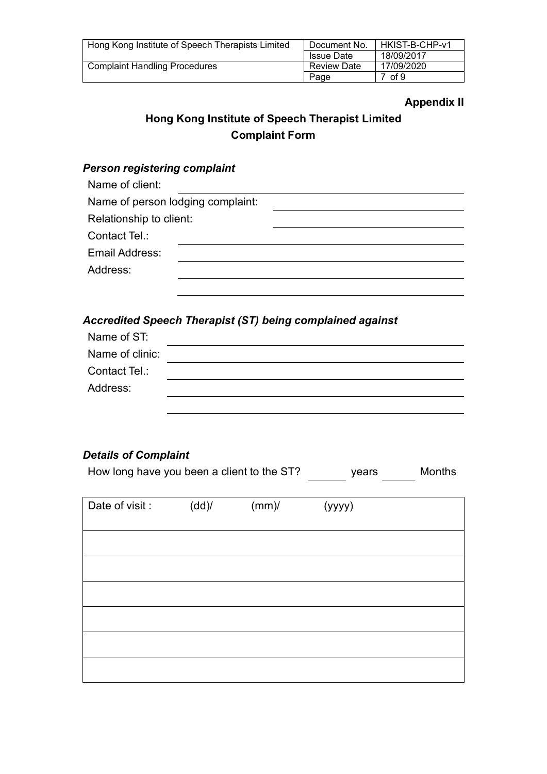| Hong Kong Institute of Speech Therapists Limited | Document No.       | HKIST-B-CHP-v1 |
|--------------------------------------------------|--------------------|----------------|
|                                                  | <b>Issue Date</b>  | 18/09/2017     |
| <b>Complaint Handling Procedures</b>             | <b>Review Date</b> | 17/09/2020     |
|                                                  | Page               | 7 of 9         |

#### **Appendix II**

## **Hong Kong Institute of Speech Therapist Limited Complaint Form**

#### *Person registering complaint*

| Name of client:                   |  |
|-----------------------------------|--|
| Name of person lodging complaint: |  |
| Relationship to client:           |  |
| Contact Tel.:                     |  |
| Email Address:                    |  |
| Address:                          |  |
|                                   |  |

#### *Accredited Speech Therapist (ST) being complained against*

| Name of ST:     |  |
|-----------------|--|
| Name of clinic: |  |
| Contact Tel.:   |  |
| Address:        |  |
|                 |  |

### *Details of Complaint*

| How long have you been a client to the ST? | vears | <b>Months</b> |
|--------------------------------------------|-------|---------------|
|                                            |       |               |

| Date of visit : | (dd) | $(mm)$ / | (yyyy) |  |
|-----------------|------|----------|--------|--|
|                 |      |          |        |  |
|                 |      |          |        |  |
|                 |      |          |        |  |
|                 |      |          |        |  |
|                 |      |          |        |  |
|                 |      |          |        |  |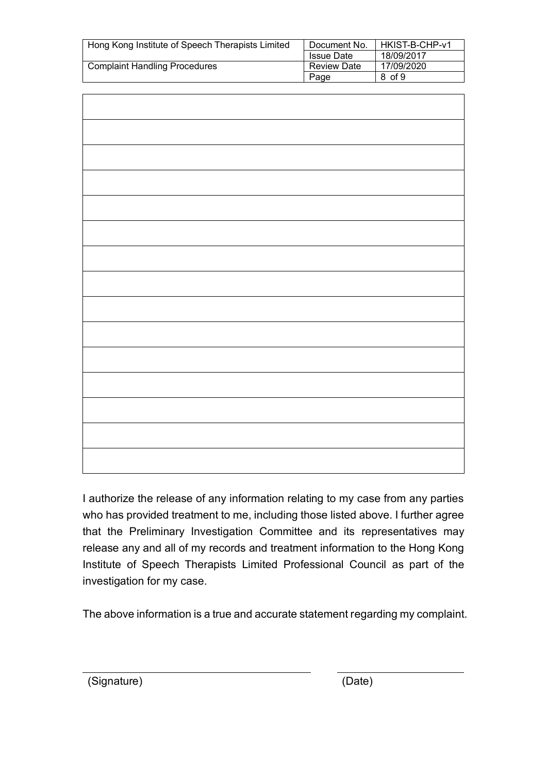| Hong Kong Institute of Speech Therapists Limited | Document No.       | HKIST-B-CHP-v1 |
|--------------------------------------------------|--------------------|----------------|
|                                                  | <b>Issue Date</b>  | 18/09/2017     |
| <b>Complaint Handling Procedures</b>             | <b>Review Date</b> | 17/09/2020     |
|                                                  | Page               | 8 of 9         |

I authorize the release of any information relating to my case from any parties who has provided treatment to me, including those listed above. I further agree that the Preliminary Investigation Committee and its representatives may release any and all of my records and treatment information to the Hong Kong Institute of Speech Therapists Limited Professional Council as part of the investigation for my case.

The above information is a true and accurate statement regarding my complaint.